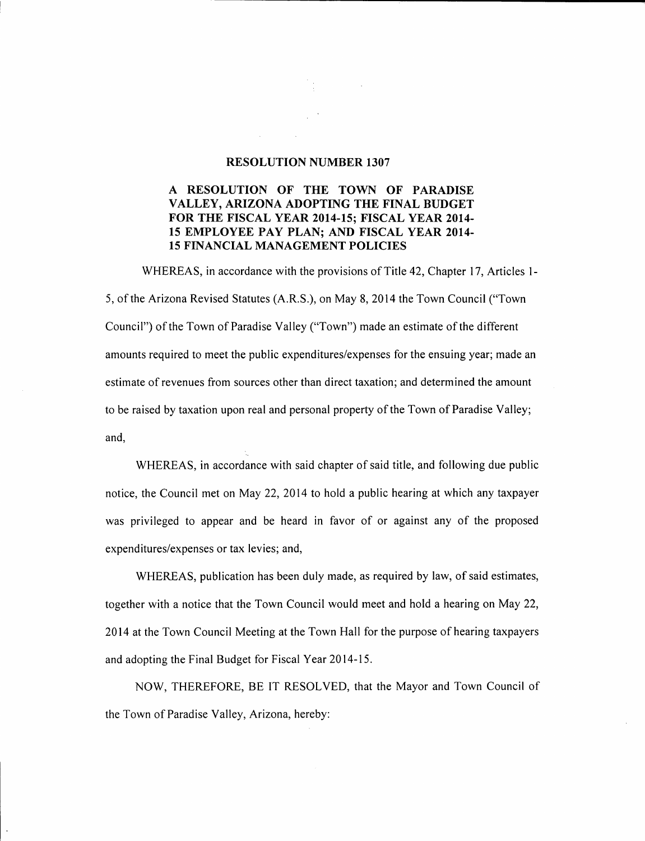### RESOLUTION NUMBER 1307

## A RESOLUTION OF THE TOWN OF PARADISE VALLEY, ARIZONA ADOPTING THE FINAL BUDGET FOR THE FISCAL YEAR 2014-15; FISCAL YEAR 2014- 15 EMPLOYEE PAY PLAN; AND FISCAL YEAR 2014- 15 FINANCIAL MANAGEMENT POLICIES

WHEREAS, in accordance with the provisions of Title 42, Chapter 17, Articles 1- 5, of the Arizona Revised Statutes (A.R.S.), on May 8, 2014 the Town Council ("Town Council") of the Town of Paradise Valley ("Town") made an estimate of the different amounts required to meet the public expenditures/expenses for the ensuing year; made an estimate of revenues from sources other than direct taxation; and determined the amount to be raised by taxation upon real and personal property of the Town of Paradise Valley; and,

WHEREAS, in accordance with said chapter of said title, and following due public notice, the Council met on May 22, 2014 to hold a public hearing at which any taxpayer was privileged to appear and be heard in favor of or against any of the proposed expenditures/expenses or tax levies; and,

WHEREAS, publication has been duly made, as required by law, of said estimates, together with a notice that the Town Council would meet and hold a hearing on May 22, 2014 at the Town Council Meeting at the Town Hall for the purpose of hearing taxpayers and adopting the Final Budget for Fiscal Year 2014-15.

NOW, THEREFORE, BE IT RESOLVED, that the Mayor and Town Council of the Town of Paradise Valley, Arizona, hereby: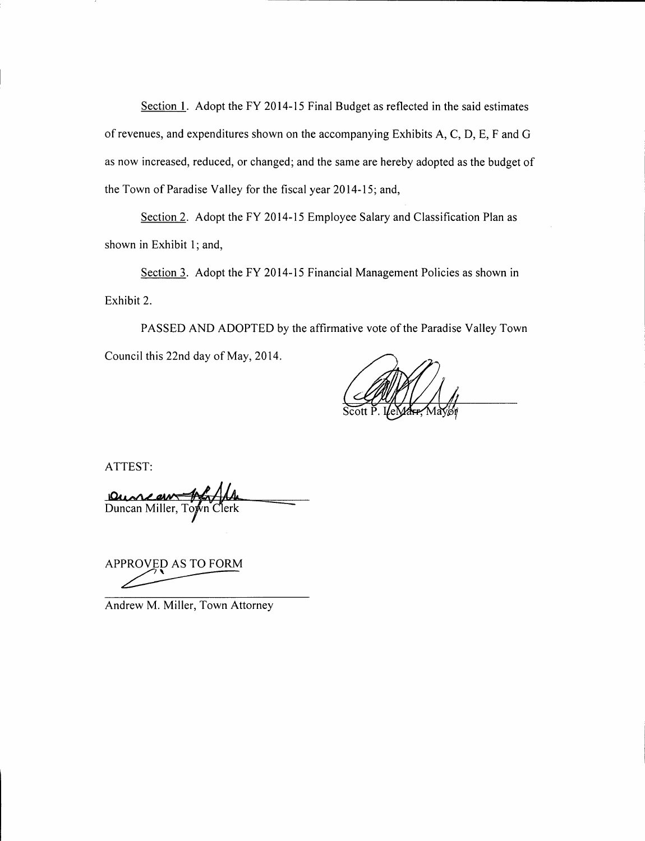Section 1. Adopt the FY 2014-15 Final Budget as reflected in the said estimates of revenues, and expenditures shown on the accompanying Exhibits A, C, D, E, F and G as now increased, reduced, or changed; and the same are hereby adopted as the budget of the Town of Paradise Valley for the fiscal year 2014-15; and,

Section 2. Adopt the FY 2014-15 Employee Salary and Classification Plan as shown in Exhibit 1; and,

Section 3. Adopt the FY 2014-15 Financial Management Policies as shown in Exhibit 2.

PASSED AND ADOPTED by the affirmative vote of the Paradise Valley Town Council this 22nd day of May, 2014.

ATTEST:

<u>Duncan And 11</u><br>Duncan Miller, Topin Clerk

APPROVED AS TO FORM

Andrew M. Miller, Town Attorney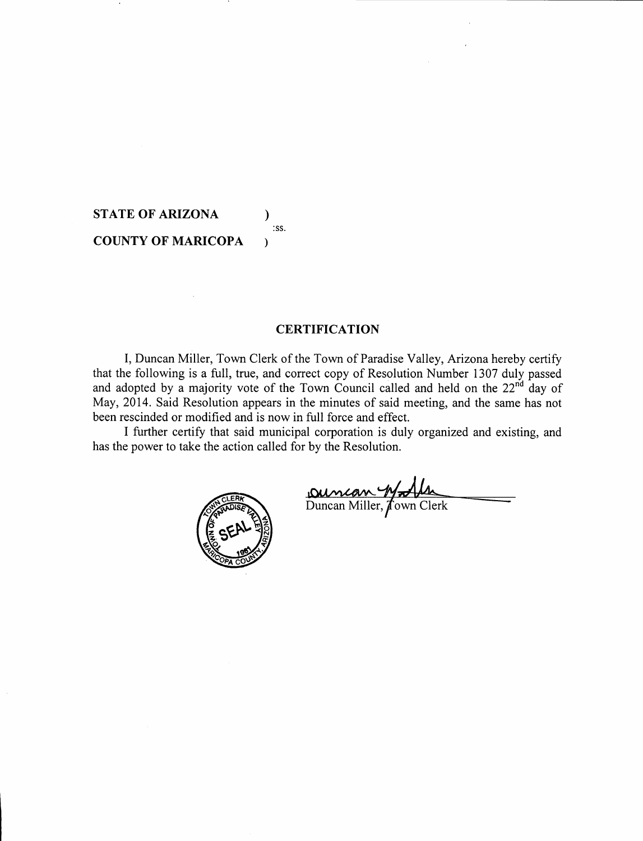# **STATE OF ARIZONA**  $\qquad$  ) **COUNTY OF MARICOPA )**

:ss.

## **CERTIFICATION**

I, Duncan Miller, Town Clerk of the Town of Paradise Valley, Arizona hereby certify that the following is a full, true, and correct copy of Resolution Number 1307 duly passed and adopted by a majority vote of the Town Council called and held on the  $22^{nd}$  day of May, 2014. Said Resolution appears in the minutes of said meeting, and the same has not been rescinded or modified and is now in full force and effect.

I further certify that said municipal corporation is duly organized and existing, and has the power to take the action called for by the Resolution.



Duncan Willen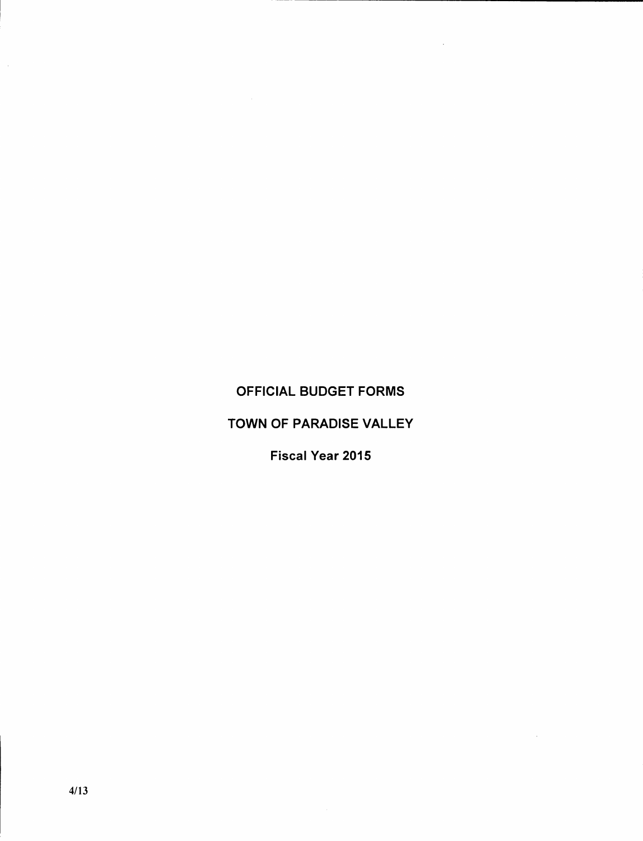## OFFICIAL BUDGET FORMS

 $\bar{L}$ 

 $\bar{\mathcal{A}}$ 

## TOWN OF PARADISE VALLEY

Fiscal Year 2015

 $\mathcal{L}_{\mathcal{L}}$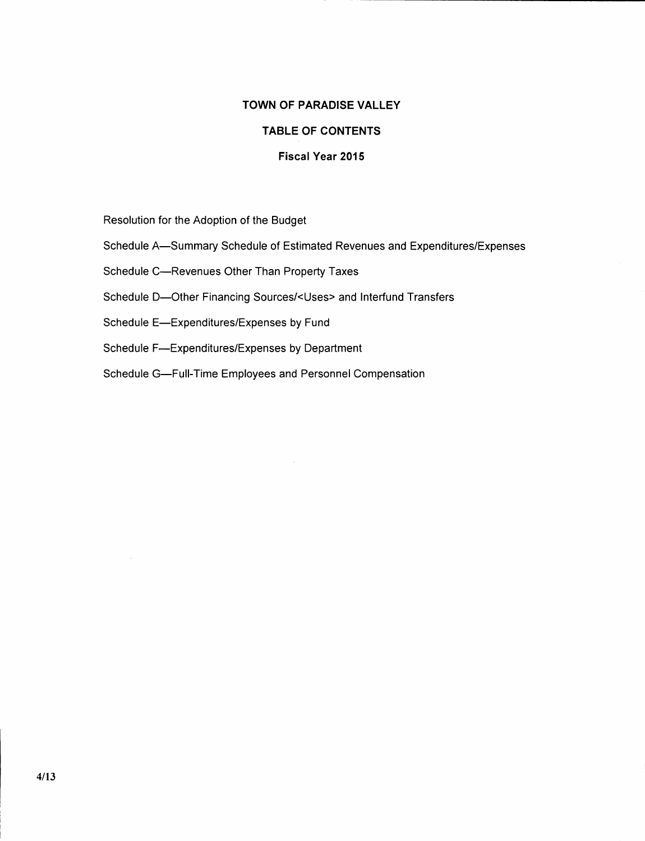## **TOWN OF PARADISE VALLEY**

## **TABLE OF CONTENTS**

## **Fiscal Year 2015**

Resolution for the Adoption of the Budget

- Schedule A-Summary Schedule of Estimated Revenues and Expenditures/Expenses
- Schedule C-Revenues Other Than Property Taxes
- Schedule D-Other Financing Sources/<Uses> and Interfund Transfers
- Schedule E-Expenditures/Expenses by Fund
- Schedule F-Expenditures/Expenses by Department
- Schedule G-Full-Time Employees and Personnel Compensation

 $\mathcal{L}$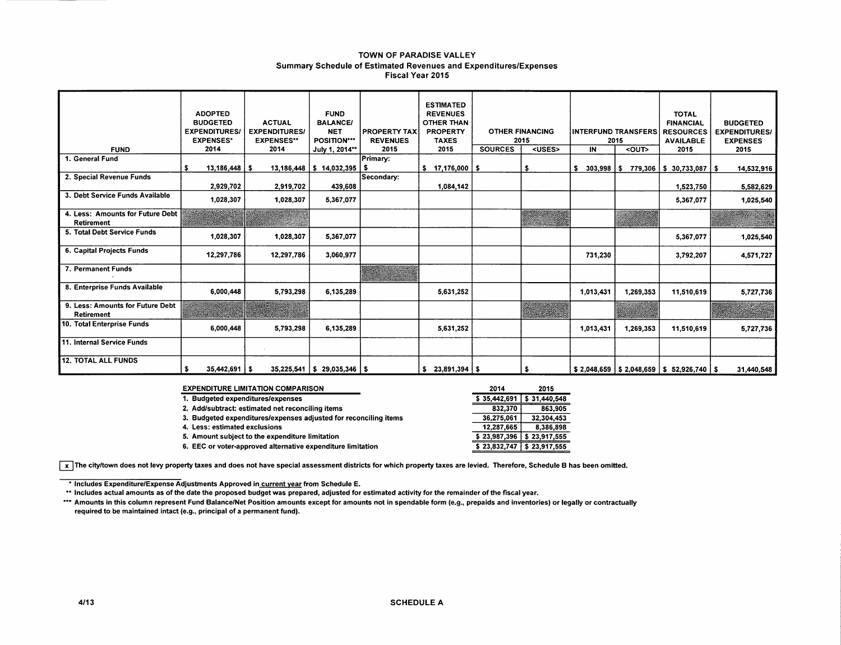#### TOWN OF PARADISE VALLEY Summary Schedule of Estimated Revenues and Expenditures/Expenses Fiscal Year 2015

| <b>FUND</b>                                           | <b>ADOPTED</b><br><b>BUDGETED</b><br><b>EXPENDITURES/</b><br><b>EXPENSES*</b><br>2014 | <b>ACTUAL</b><br><b>EXPENDITURES/</b><br><b>EXPENSES**</b><br>2014 | <b>FUND</b><br><b>BALANCE/</b><br><b>NET</b><br>POSITION***<br>July 1, 2014** | <b>PROPERTY TAX</b><br><b>REVENUES</b><br>2015 | <b>ESTIMATED</b><br><b>REVENUES</b><br><b>OTHER THAN</b><br><b>PROPERTY</b><br><b>TAXES</b><br>2015 | <b>SOURCES</b> | <b>OTHER FINANCING</b><br>2015<br><uses></uses> | IN                 | <b>INTERFUND TRANSFERS</b><br>2015<br>$\overline{\text{conv}}$ | <b>TOTAL</b><br><b>FINANCIAL</b><br><b>RESOURCES</b><br><b>AVAILABLE</b><br>2015 | <b>BUDGETED</b><br><b>EXPENDITURES/</b><br><b>EXPENSES</b><br>2015 |
|-------------------------------------------------------|---------------------------------------------------------------------------------------|--------------------------------------------------------------------|-------------------------------------------------------------------------------|------------------------------------------------|-----------------------------------------------------------------------------------------------------|----------------|-------------------------------------------------|--------------------|----------------------------------------------------------------|----------------------------------------------------------------------------------|--------------------------------------------------------------------|
| 1. General Fund                                       | \$<br>$13,186,448$   \$                                                               |                                                                    | $13,186,448$   \$ 14,032,395   \$                                             | Primary:                                       | $$17,176,000$ \ \$                                                                                  |                | \$                                              | $303,998$ \$<br>s. | 779,306                                                        | $\frac{1}{2}$ \$ 30,733,087 $\frac{1}{2}$                                        | 14,532,916                                                         |
| 2. Special Revenue Funds                              | 2,929,702                                                                             | 2,919,702                                                          | 439,608                                                                       | Secondary:                                     | 1,084,142                                                                                           |                |                                                 |                    |                                                                | 1,523,750                                                                        | 5,582,629                                                          |
| 3. Debt Service Funds Available                       | 1,028,307                                                                             | 1,028,307                                                          | 5,367,077                                                                     |                                                |                                                                                                     |                |                                                 |                    |                                                                | 5,367,077                                                                        | 1,025,540                                                          |
| 4. Less: Amounts for Future Debt<br><b>Retirement</b> |                                                                                       |                                                                    |                                                                               |                                                |                                                                                                     |                |                                                 |                    |                                                                |                                                                                  |                                                                    |
| 5. Total Debt Service Funds                           | 1,028,307                                                                             | 1,028,307                                                          | 5,367,077                                                                     |                                                |                                                                                                     |                |                                                 |                    |                                                                | 5,367,077                                                                        | 1,025,540                                                          |
| 6. Capital Projects Funds                             | 12,297,786                                                                            | 12,297,786                                                         | 3,060,977                                                                     |                                                |                                                                                                     |                |                                                 | 731,230            |                                                                | 3.792,207                                                                        | 4,571,727                                                          |
| 7. Permanent Funds                                    |                                                                                       |                                                                    |                                                                               |                                                |                                                                                                     |                |                                                 |                    |                                                                |                                                                                  |                                                                    |
| 8. Enterprise Funds Available                         | 6,000,448                                                                             | 5,793,298                                                          | 6,135,289                                                                     |                                                | 5,631,252                                                                                           |                |                                                 | 1,013,431          | 1,269,353                                                      | 11,510,619                                                                       | 5,727,736                                                          |
| 9. Less: Amounts for Future Debt<br><b>Retirement</b> |                                                                                       |                                                                    |                                                                               |                                                |                                                                                                     |                |                                                 |                    |                                                                |                                                                                  |                                                                    |
| 10. Total Enterprise Funds                            | 6,000,448                                                                             | 5,793,298                                                          | 6,135,289                                                                     |                                                | 5,631,252                                                                                           |                |                                                 | 1,013,431          | 1,269,353                                                      | 11,510,619                                                                       | 5,727,736                                                          |
| 11. Internal Service Funds                            |                                                                                       |                                                                    |                                                                               |                                                |                                                                                                     |                |                                                 |                    |                                                                |                                                                                  |                                                                    |
| <b>12. TOTAL ALL FUNDS</b>                            | \$<br>$35,442,691$   \$                                                               |                                                                    | $35,225,541$   \$ 29,035,346   \$                                             |                                                | $$23,891,394$ \ \$                                                                                  |                | \$                                              |                    |                                                                | \$2,048,659   \$2,048,659   \$52,926,740   \$                                    | 31,440,548                                                         |

| <b>EXPENDITURE LIMITATION COMPARISON</b>                         | 2014         | 2015                           |
|------------------------------------------------------------------|--------------|--------------------------------|
| 1. Budgeted expenditures/expenses                                |              | $$35.442.691 \mid $31.440.548$ |
| 2. Add/subtract: estimated net reconciling items                 | 832.370      | 863.905                        |
| 3. Budgeted expenditures/expenses adjusted for reconciling items | 36,275,061   | 32.304.453                     |
| 4. Less: estimated exclusions                                    | 12.287.665   | 8.386.898                      |
| 5. Amount subject to the expenditure limitation                  | \$23,987,396 | \$23,917,555                   |
| 6. EEC or voter-approved alternative expenditure limitation      |              | $$23,832,747$ $$23,917,555$    |

 $\overline{x}$  The city/town does not levy property taxes and does not have special assessment districts for which property taxes are levied. Therefore, Schedule B has been omitted.

\* Includes Expenditure/Expense Adjustments Approved in current year from Schedule E.

\*\* Includes actual amounts as of the date the proposed budget was prepared, adjusted for estimated activity for the remainder of the fiscal year.

\*\*\* Amounts in this column represent Fund Balance/Net Position amounts except for amounts not in spendable form (e.g., prepaids and inventories) or legally or contractually required to be maintained intact (e.g., principal of a permanent fund).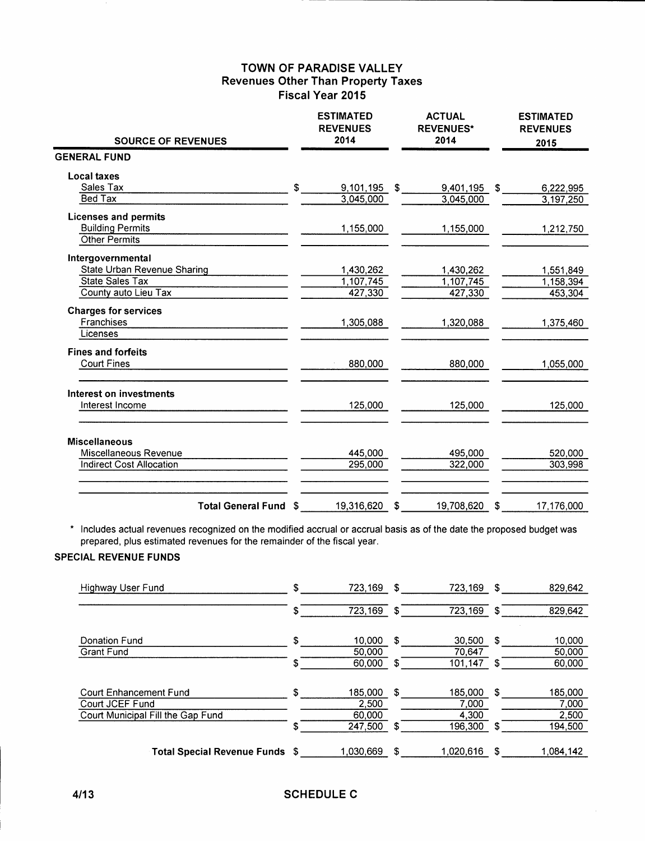## **TOWN OF PARADISE VALLEY Revenues Other Than Property Taxes Fiscal Year 2015**

| <b>SOURCE OF REVENUES</b>       | <b>ESTIMATED</b><br><b>REVENUES</b><br>2014 | <b>ACTUAL</b><br><b>REVENUES*</b><br>2014 | <b>ESTIMATED</b><br><b>REVENUES</b><br>2015 |
|---------------------------------|---------------------------------------------|-------------------------------------------|---------------------------------------------|
| <b>GENERAL FUND</b>             |                                             |                                           |                                             |
| Local taxes                     |                                             |                                           |                                             |
| Sales Tax                       | \$<br>9,101,195 \$                          | 9,401,195 \$                              | 6,222,995                                   |
| Bed Tax                         | 3,045,000                                   | 3,045,000                                 | 3,197,250                                   |
| <b>Licenses and permits</b>     |                                             |                                           |                                             |
| <b>Building Permits</b>         | 1,155,000                                   | 1,155,000                                 | 1,212,750                                   |
| Other Permits                   |                                             |                                           |                                             |
| Intergovernmental               |                                             |                                           |                                             |
| State Urban Revenue Sharing     | 1,430,262                                   | 1,430,262                                 | 1,551,849                                   |
| <b>State Sales Tax</b>          | 1,107,745                                   | 1,107,745                                 | 1,158,394                                   |
| County auto Lieu Tax            | 427,330                                     | 427,330                                   | 453,304                                     |
| <b>Charges for services</b>     |                                             |                                           |                                             |
| Franchises                      | 1,305,088                                   | 1,320,088                                 | 1,375,460                                   |
| Licenses                        |                                             |                                           |                                             |
| <b>Fines and forfeits</b>       |                                             |                                           |                                             |
| <b>Court Fines</b>              | 880,000                                     | 880,000                                   | 1,055,000                                   |
| Interest on investments         |                                             |                                           |                                             |
| Interest Income                 | 125,000                                     | 125,000                                   | 125,000                                     |
| <b>Miscellaneous</b>            |                                             |                                           |                                             |
| Miscellaneous Revenue           | 445,000                                     | 495,000                                   | 520,000                                     |
| <b>Indirect Cost Allocation</b> | 295,000                                     | 322,000                                   | 303,998                                     |
| Total General Fund \$           | 19,316,620                                  | \$<br>19,708,620                          | \$<br>17,176,000                            |

\* Includes actual revenues recognized on the modified accrual or accrual basis as of the date the proposed budget was prepared, plus estimated revenues for the remainder of the fiscal year.

## **SPECIAL REVENUE FUNDS**

| Highway User Fund                                                              | \$ | 723.169                    | \$ | 723.169                   | S. | 829,642                   |
|--------------------------------------------------------------------------------|----|----------------------------|----|---------------------------|----|---------------------------|
|                                                                                | \$ | 723,169                    | -S | 723,169                   | S. | 829,642                   |
| Donation Fund<br>Grant Fund                                                    | \$ | 10.000<br>50.000           | -S | 30,500<br>70,647          | S. | 10,000<br>50,000          |
|                                                                                | Ŧ  | 60,000                     | -S | 101.147                   | S  | 60,000                    |
| Court Enhancement Fund<br>Court JCEF Fund<br>Court Municipal Fill the Gap Fund | S. | 185.000<br>2.500<br>60,000 | S. | 185.000<br>7,000<br>4,300 | S  | 185,000<br>7,000<br>2,500 |
|                                                                                | S  | 247.500                    | S  | 196,300                   | S  | 194,500                   |
| Total Special Revenue Funds \$                                                 |    | 1.030.669                  | S  | 1,020,616                 |    | 1,084,142                 |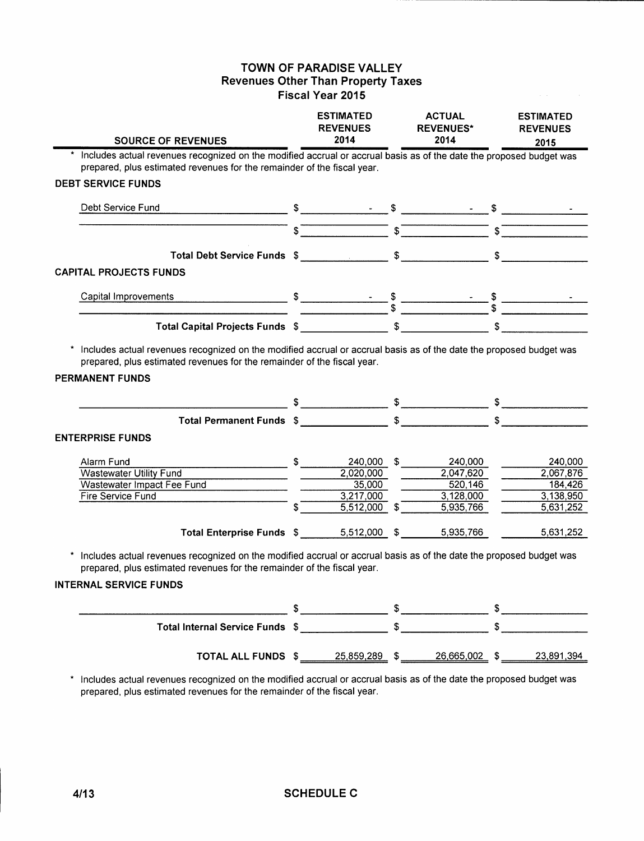## TOWN OF PARADISE VALLEY **Revenues Other Than Property Taxes** Fiscal Year 2015

| <b>SOURCE OF REVENUES</b>                                                                                                                                                                                                                                                                                                                                                                                                                                                                                                                  | <b>ESTIMATED</b><br><b>REVENUES</b><br>2014 | <b>ACTUAL</b><br><b>REVENUES*</b><br>2014                                                                                                                                                                                                                                                                           | <b>ESTIMATED</b><br><b>REVENUES</b> |
|--------------------------------------------------------------------------------------------------------------------------------------------------------------------------------------------------------------------------------------------------------------------------------------------------------------------------------------------------------------------------------------------------------------------------------------------------------------------------------------------------------------------------------------------|---------------------------------------------|---------------------------------------------------------------------------------------------------------------------------------------------------------------------------------------------------------------------------------------------------------------------------------------------------------------------|-------------------------------------|
|                                                                                                                                                                                                                                                                                                                                                                                                                                                                                                                                            |                                             |                                                                                                                                                                                                                                                                                                                     | 2015                                |
| Includes actual revenues recognized on the modified accrual or accrual basis as of the date the proposed budget was<br>prepared, plus estimated revenues for the remainder of the fiscal year.                                                                                                                                                                                                                                                                                                                                             |                                             |                                                                                                                                                                                                                                                                                                                     |                                     |
| <b>DEBT SERVICE FUNDS</b>                                                                                                                                                                                                                                                                                                                                                                                                                                                                                                                  |                                             |                                                                                                                                                                                                                                                                                                                     |                                     |
|                                                                                                                                                                                                                                                                                                                                                                                                                                                                                                                                            |                                             |                                                                                                                                                                                                                                                                                                                     |                                     |
| Debt Service Fund                                                                                                                                                                                                                                                                                                                                                                                                                                                                                                                          |                                             |                                                                                                                                                                                                                                                                                                                     |                                     |
|                                                                                                                                                                                                                                                                                                                                                                                                                                                                                                                                            |                                             |                                                                                                                                                                                                                                                                                                                     |                                     |
|                                                                                                                                                                                                                                                                                                                                                                                                                                                                                                                                            |                                             |                                                                                                                                                                                                                                                                                                                     |                                     |
|                                                                                                                                                                                                                                                                                                                                                                                                                                                                                                                                            |                                             |                                                                                                                                                                                                                                                                                                                     |                                     |
| <b>CAPITAL PROJECTS FUNDS</b>                                                                                                                                                                                                                                                                                                                                                                                                                                                                                                              |                                             |                                                                                                                                                                                                                                                                                                                     |                                     |
|                                                                                                                                                                                                                                                                                                                                                                                                                                                                                                                                            |                                             |                                                                                                                                                                                                                                                                                                                     |                                     |
| Capital Improvements                                                                                                                                                                                                                                                                                                                                                                                                                                                                                                                       |                                             |                                                                                                                                                                                                                                                                                                                     |                                     |
|                                                                                                                                                                                                                                                                                                                                                                                                                                                                                                                                            |                                             |                                                                                                                                                                                                                                                                                                                     |                                     |
|                                                                                                                                                                                                                                                                                                                                                                                                                                                                                                                                            |                                             |                                                                                                                                                                                                                                                                                                                     |                                     |
| prepared, plus estimated revenues for the remainder of the fiscal year.<br><b>PERMANENT FUNDS</b>                                                                                                                                                                                                                                                                                                                                                                                                                                          |                                             |                                                                                                                                                                                                                                                                                                                     |                                     |
|                                                                                                                                                                                                                                                                                                                                                                                                                                                                                                                                            |                                             |                                                                                                                                                                                                                                                                                                                     |                                     |
| <b>ENTERPRISE FUNDS</b>                                                                                                                                                                                                                                                                                                                                                                                                                                                                                                                    |                                             |                                                                                                                                                                                                                                                                                                                     |                                     |
|                                                                                                                                                                                                                                                                                                                                                                                                                                                                                                                                            |                                             |                                                                                                                                                                                                                                                                                                                     |                                     |
| Alarm Fund<br>$\frac{\text{I} \cdot \text{I} \cdot \text{I} \cdot \text{I} \cdot \text{I} \cdot \text{I} \cdot \text{I} \cdot \text{I} \cdot \text{I} \cdot \text{I} \cdot \text{I} \cdot \text{I} \cdot \text{I} \cdot \text{I} \cdot \text{I} \cdot \text{I} \cdot \text{I} \cdot \text{I} \cdot \text{I} \cdot \text{I} \cdot \text{I} \cdot \text{I} \cdot \text{I} \cdot \text{I} \cdot \text{I} \cdot \text{I} \cdot \text{I} \cdot \text{I} \cdot \text{I} \cdot \text{I} \cdot \text{I} \cdot \$<br><b>Wastewater Utility Fund</b> | 2,020,000                                   | 240,000<br>2,047,620                                                                                                                                                                                                                                                                                                | 240.000<br>2,067,876                |
| Wastewater Impact Fee Fund                                                                                                                                                                                                                                                                                                                                                                                                                                                                                                                 | 35,000                                      | 520,146                                                                                                                                                                                                                                                                                                             |                                     |
| Fire Service Fund                                                                                                                                                                                                                                                                                                                                                                                                                                                                                                                          | 3,217,000                                   | 3,128,000                                                                                                                                                                                                                                                                                                           |                                     |
|                                                                                                                                                                                                                                                                                                                                                                                                                                                                                                                                            |                                             |                                                                                                                                                                                                                                                                                                                     | 184,426                             |
|                                                                                                                                                                                                                                                                                                                                                                                                                                                                                                                                            | $5,512,000$ \$                              | 5,935,766                                                                                                                                                                                                                                                                                                           | 3,138,950<br>5,631,252              |
| Total Enterprise Funds \$ ________ 5,512,000 \$ _______ 5,935,766                                                                                                                                                                                                                                                                                                                                                                                                                                                                          |                                             |                                                                                                                                                                                                                                                                                                                     | 5,631,252                           |
| * Includes actual revenues recognized on the modified accrual or accrual basis as of the date the proposed budget was<br>prepared, plus estimated revenues for the remainder of the fiscal year.<br><b>INTERNAL SERVICE FUNDS</b>                                                                                                                                                                                                                                                                                                          |                                             |                                                                                                                                                                                                                                                                                                                     |                                     |
|                                                                                                                                                                                                                                                                                                                                                                                                                                                                                                                                            |                                             | $\frac{1}{2}$ $\frac{1}{2}$ $\frac{1}{2}$ $\frac{1}{2}$ $\frac{1}{2}$ $\frac{1}{2}$ $\frac{1}{2}$ $\frac{1}{2}$ $\frac{1}{2}$ $\frac{1}{2}$ $\frac{1}{2}$ $\frac{1}{2}$ $\frac{1}{2}$ $\frac{1}{2}$ $\frac{1}{2}$ $\frac{1}{2}$ $\frac{1}{2}$ $\frac{1}{2}$ $\frac{1}{2}$ $\frac{1}{2}$ $\frac{1}{2}$ $\frac{1}{2}$ |                                     |

TOTAL ALL FUNDS  $\frac{1}{25.859,289}$  \$ 26,665,002 \$ 23,891,394

\* Includes actual revenues recognized on the modified accrual or accrual basis as of the date the proposed budget was prepared, plus estimated revenues for the remainder of the fiscal year.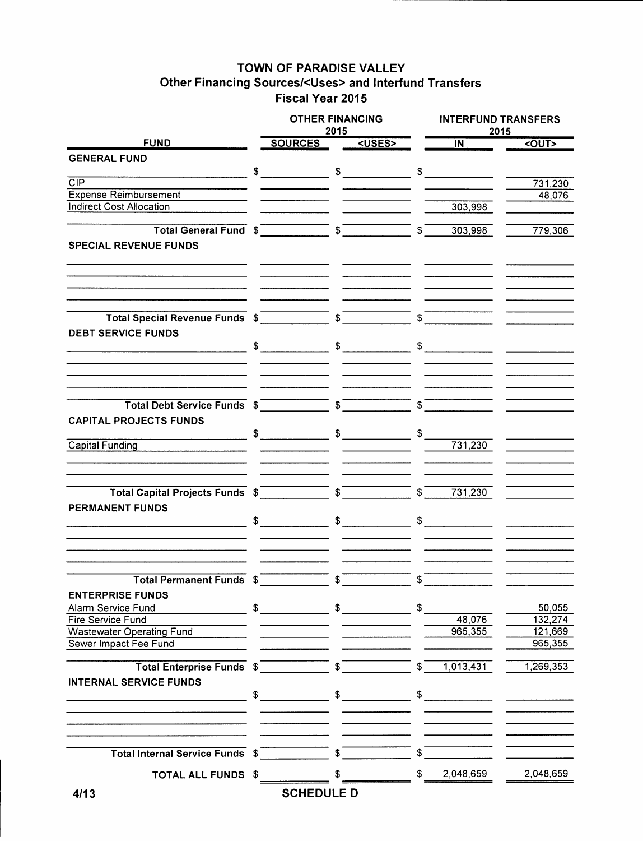## TOWN OF PARADISE VALLEY Other Financing Sources/<Uses> and Interfund Transfers Fiscal Year 2015

|                                         |      | <b>OTHER FINANCING</b><br>2015                                                                                                                                                                                                                                                                                      |    |                       |                    | <b>INTERFUND TRANSFERS</b><br>2015 |                    |
|-----------------------------------------|------|---------------------------------------------------------------------------------------------------------------------------------------------------------------------------------------------------------------------------------------------------------------------------------------------------------------------|----|-----------------------|--------------------|------------------------------------|--------------------|
| <b>FUND</b>                             |      | <b>SOURCES</b>                                                                                                                                                                                                                                                                                                      |    | <uses></uses>         |                    | $\overline{\mathsf{IN}}^-$         | $1$                |
| <b>GENERAL FUND</b>                     |      |                                                                                                                                                                                                                                                                                                                     |    |                       |                    |                                    |                    |
|                                         |      | $\frac{1}{2}$ $\frac{1}{2}$ $\frac{1}{2}$ $\frac{1}{2}$ $\frac{1}{2}$ $\frac{1}{2}$ $\frac{1}{2}$ $\frac{1}{2}$ $\frac{1}{2}$ $\frac{1}{2}$ $\frac{1}{2}$ $\frac{1}{2}$ $\frac{1}{2}$ $\frac{1}{2}$ $\frac{1}{2}$ $\frac{1}{2}$ $\frac{1}{2}$ $\frac{1}{2}$ $\frac{1}{2}$ $\frac{1}{2}$ $\frac{1}{2}$ $\frac{1}{2}$ |    |                       |                    |                                    |                    |
| $\overline{CIP}$                        |      |                                                                                                                                                                                                                                                                                                                     |    |                       |                    |                                    | 731,230            |
| <b>Expense Reimbursement</b>            |      |                                                                                                                                                                                                                                                                                                                     |    |                       |                    |                                    | 48,076             |
| <b>Indirect Cost Allocation</b>         |      |                                                                                                                                                                                                                                                                                                                     |    |                       |                    | 303,998                            |                    |
|                                         |      |                                                                                                                                                                                                                                                                                                                     |    |                       |                    |                                    |                    |
|                                         |      |                                                                                                                                                                                                                                                                                                                     |    |                       | $\mathbb{S}$       | 303,998                            | 779,306            |
| <b>SPECIAL REVENUE FUNDS</b>            |      |                                                                                                                                                                                                                                                                                                                     |    |                       |                    |                                    |                    |
|                                         |      |                                                                                                                                                                                                                                                                                                                     |    |                       |                    |                                    |                    |
|                                         |      |                                                                                                                                                                                                                                                                                                                     |    |                       |                    |                                    |                    |
|                                         |      |                                                                                                                                                                                                                                                                                                                     |    |                       |                    |                                    |                    |
|                                         |      |                                                                                                                                                                                                                                                                                                                     |    |                       |                    |                                    |                    |
|                                         |      |                                                                                                                                                                                                                                                                                                                     |    |                       | $S^-$              |                                    |                    |
|                                         |      |                                                                                                                                                                                                                                                                                                                     |    |                       |                    |                                    |                    |
| <b>DEBT SERVICE FUNDS</b>               |      |                                                                                                                                                                                                                                                                                                                     |    |                       |                    |                                    |                    |
|                                         |      |                                                                                                                                                                                                                                                                                                                     |    |                       |                    | $\frac{1}{2}$                      |                    |
|                                         |      |                                                                                                                                                                                                                                                                                                                     |    |                       |                    |                                    |                    |
|                                         |      |                                                                                                                                                                                                                                                                                                                     |    |                       |                    |                                    |                    |
|                                         |      |                                                                                                                                                                                                                                                                                                                     |    |                       |                    |                                    |                    |
|                                         |      |                                                                                                                                                                                                                                                                                                                     |    |                       | $\sqrt{s}$         |                                    |                    |
| <b>CAPITAL PROJECTS FUNDS</b>           |      |                                                                                                                                                                                                                                                                                                                     |    |                       |                    |                                    |                    |
|                                         |      |                                                                                                                                                                                                                                                                                                                     |    |                       |                    |                                    |                    |
| Capital Funding <b>Capital</b>          |      |                                                                                                                                                                                                                                                                                                                     |    |                       |                    | 731,230                            |                    |
|                                         |      |                                                                                                                                                                                                                                                                                                                     |    |                       |                    |                                    |                    |
|                                         |      |                                                                                                                                                                                                                                                                                                                     |    |                       |                    |                                    |                    |
|                                         |      |                                                                                                                                                                                                                                                                                                                     |    |                       |                    |                                    |                    |
| Total Capital Projects Funds \$         |      |                                                                                                                                                                                                                                                                                                                     |    |                       | $\boldsymbol{s}^-$ | 731,230                            |                    |
| <b>PERMANENT FUNDS</b>                  |      |                                                                                                                                                                                                                                                                                                                     |    |                       |                    |                                    |                    |
|                                         |      | $\sim$                                                                                                                                                                                                                                                                                                              |    | $\frac{1}{2}$         |                    | $\frac{1}{\sqrt{2}}$               |                    |
|                                         |      |                                                                                                                                                                                                                                                                                                                     |    |                       |                    |                                    |                    |
|                                         |      |                                                                                                                                                                                                                                                                                                                     |    |                       |                    |                                    |                    |
|                                         |      |                                                                                                                                                                                                                                                                                                                     |    |                       |                    |                                    |                    |
| <b>Total Permanent Funds \$</b>         |      |                                                                                                                                                                                                                                                                                                                     | \$ |                       | \$                 |                                    |                    |
|                                         |      |                                                                                                                                                                                                                                                                                                                     |    |                       |                    |                                    |                    |
| <b>ENTERPRISE FUNDS</b>                 |      |                                                                                                                                                                                                                                                                                                                     |    |                       |                    |                                    |                    |
| Alarm Service Fund<br>Fire Service Fund |      |                                                                                                                                                                                                                                                                                                                     |    |                       | \$                 |                                    | 50,055             |
| <b>Wastewater Operating Fund</b>        |      |                                                                                                                                                                                                                                                                                                                     |    |                       |                    | 48,076<br>965,355                  | 132,274<br>121,669 |
| Sewer Impact Fee Fund                   |      |                                                                                                                                                                                                                                                                                                                     |    |                       |                    |                                    | 965,355            |
|                                         |      |                                                                                                                                                                                                                                                                                                                     |    |                       |                    |                                    |                    |
| Total Enterprise Funds \$               |      |                                                                                                                                                                                                                                                                                                                     |    | $\overline{\text{S}}$ | $\mathfrak{s}^-$   | 1,013,431                          | 1,269,353          |
| <b>INTERNAL SERVICE FUNDS</b>           |      |                                                                                                                                                                                                                                                                                                                     |    |                       |                    |                                    |                    |
|                                         |      | $\sim$                                                                                                                                                                                                                                                                                                              |    | $\sim$                |                    | $\sim$                             |                    |
|                                         |      |                                                                                                                                                                                                                                                                                                                     |    |                       |                    |                                    |                    |
|                                         |      |                                                                                                                                                                                                                                                                                                                     |    |                       |                    |                                    |                    |
|                                         |      |                                                                                                                                                                                                                                                                                                                     |    |                       |                    |                                    |                    |
|                                         |      |                                                                                                                                                                                                                                                                                                                     |    |                       |                    |                                    |                    |
| Total Internal Service Funds \$         |      | $\overline{\phantom{0}}$ s <sup>-</sup>                                                                                                                                                                                                                                                                             |    |                       | $\boldsymbol{s}^-$ |                                    |                    |
| <b>TOTAL ALL FUNDS</b>                  | - \$ |                                                                                                                                                                                                                                                                                                                     |    |                       | \$                 | 2,048,659                          | 2,048,659          |
|                                         |      |                                                                                                                                                                                                                                                                                                                     |    |                       |                    |                                    |                    |
| 4/13                                    |      | <b>SCHEDULE D</b>                                                                                                                                                                                                                                                                                                   |    |                       |                    |                                    |                    |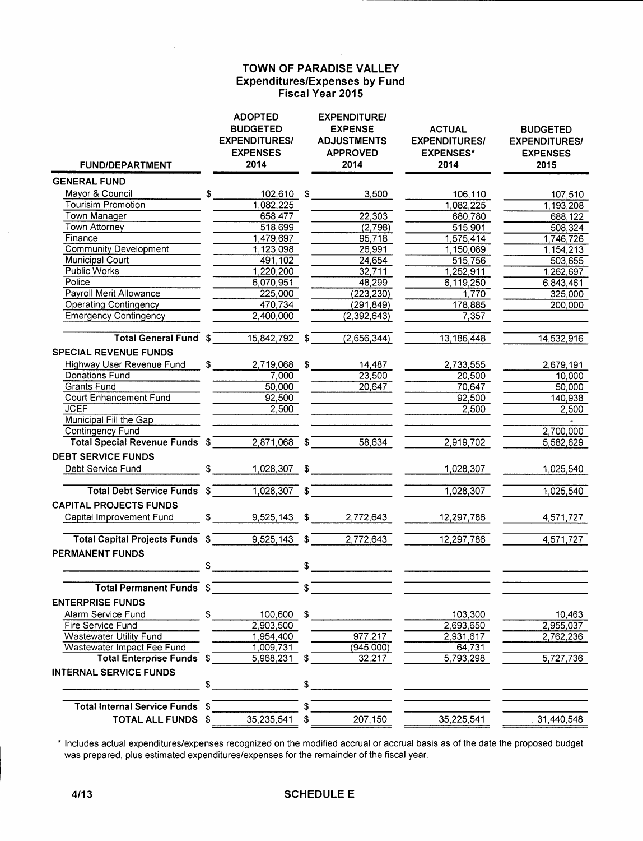## TOWN OF PARADISE VALLEY **Expenditures/Expenses by Fund** Fiscal Year 2015

| <b>FUND/DEPARTMENT</b>                 |               | <b>ADOPTED</b><br><b>BUDGETED</b><br><b>EXPENDITURES/</b><br><b>EXPENSES</b><br>2014 |              | <b>EXPENDITURE/</b><br><b>EXPENSE</b><br><b>ADJUSTMENTS</b><br><b>APPROVED</b><br>2014 | <b>ACTUAL</b><br><b>EXPENDITURES/</b><br><b>EXPENSES*</b><br>2014 | <b>BUDGETED</b><br><b>EXPENDITURES/</b><br><b>EXPENSES</b><br>2015 |
|----------------------------------------|---------------|--------------------------------------------------------------------------------------|--------------|----------------------------------------------------------------------------------------|-------------------------------------------------------------------|--------------------------------------------------------------------|
| <b>GENERAL FUND</b>                    |               |                                                                                      |              |                                                                                        |                                                                   |                                                                    |
| Mayor & Council                        | $\mathfrak s$ | 102,610 \$                                                                           |              | 3,500                                                                                  | 106,110                                                           | 107,510                                                            |
| <b>Tourisim Promotion</b>              |               | 1,082,225                                                                            |              |                                                                                        | 1,082,225                                                         | 1,193,208                                                          |
| own Manager                            |               | 658,477                                                                              |              | 22,303                                                                                 | 680,780                                                           | 688,122                                                            |
| Town Attorney                          |               | 518,699                                                                              |              | (2,798)                                                                                | 515,901                                                           | 508,324                                                            |
| Finance                                |               | 1,479,697                                                                            |              | 95,718                                                                                 | 1,575,414                                                         | 1,746,726                                                          |
| <b>Community Development</b>           |               | 1,123,098                                                                            |              | 26,991                                                                                 | 1,150,089                                                         | 1,154,213                                                          |
| Municipal Court                        |               | 491,102                                                                              |              | 24,654                                                                                 | 515,756                                                           | 503,655                                                            |
| <b>Public Works</b>                    |               | 1,220,200                                                                            |              | 32,711                                                                                 | 1,252,911                                                         | 1,262,697                                                          |
| Police                                 |               | 6,070,951                                                                            |              | 48,299                                                                                 | 6,119,250                                                         | 6,843,461                                                          |
| Payroll Merit Allowance                |               | 225,000                                                                              |              | (223, 230)                                                                             | 1,770                                                             | 325,000                                                            |
| <b>Operating Contingency</b>           |               | 470,734                                                                              |              | (291, 849)                                                                             | 178,885                                                           | 200,000                                                            |
| <b>Emergency Contingency</b>           |               | 2,400,000                                                                            |              | (2, 392, 643)                                                                          | 7,357                                                             |                                                                    |
| <b>Total General Fund \$</b>           |               | 15,842,792                                                                           | \$           | (2,656,344)                                                                            | 13, 186, 448                                                      | 14,532,916                                                         |
| <b>SPECIAL REVENUE FUNDS</b>           |               |                                                                                      |              |                                                                                        |                                                                   |                                                                    |
| Highway User Revenue Fund              | \$            | 2,719,068                                                                            | \$           | 14,487                                                                                 | 2,733,555                                                         | 2,679,191                                                          |
| Donations Fund                         |               | 7,000                                                                                |              | 23,500                                                                                 | 20,500                                                            | 10,000                                                             |
| Grants Fund                            |               | 50,000                                                                               |              | 20,647                                                                                 | 70,647                                                            | 50,000                                                             |
| <b>Court Enhancement Fund</b>          |               | 92,500                                                                               |              |                                                                                        | 92,500                                                            | 140,938                                                            |
| <b>JCEF</b>                            |               | 2,500                                                                                |              |                                                                                        | 2,500                                                             | 2,500                                                              |
| Municipal Fill the Gap                 |               |                                                                                      |              |                                                                                        |                                                                   |                                                                    |
| Contingency Fund                       |               |                                                                                      |              |                                                                                        |                                                                   | 2,700,000                                                          |
| Total Special Revenue Funds \$         |               | 2,871,068                                                                            | $\mathbf{s}$ | 58,634                                                                                 | 2,919,702                                                         | 5,582,629                                                          |
| <b>DEBT SERVICE FUNDS</b>              |               |                                                                                      |              |                                                                                        |                                                                   |                                                                    |
| Debt Service Fund                      | \$            | 1,028,307                                                                            | \$           |                                                                                        | 1,028,307                                                         | 1,025,540                                                          |
| Total Debt Service Funds \$            |               | 1,028,307                                                                            | $\sqrt{s}$   |                                                                                        | 1,028,307                                                         | 1,025,540                                                          |
| <b>CAPITAL PROJECTS FUNDS</b>          |               |                                                                                      |              |                                                                                        |                                                                   |                                                                    |
| Capital Improvement Fund               | $\frac{1}{2}$ | 9,525,143 \$                                                                         |              | 2,772,643                                                                              | 12,297,786                                                        | 4,571,727                                                          |
| <b>Total Capital Projects Funds \$</b> |               | 9,525,143                                                                            | \$           | 2,772,643                                                                              | 12,297,786                                                        | 4,571,727                                                          |
| PERMANENT FUNDS                        |               |                                                                                      |              |                                                                                        |                                                                   |                                                                    |
|                                        | \$            |                                                                                      | \$           |                                                                                        |                                                                   |                                                                    |
| Total Permanent Funds \$               |               |                                                                                      | \$           |                                                                                        |                                                                   |                                                                    |
| <b>ENTERPRISE FUNDS</b>                |               |                                                                                      |              |                                                                                        |                                                                   |                                                                    |
| Alarm Service Fund                     | \$            | 100,600                                                                              | \$           |                                                                                        | 103,300                                                           | 10,463                                                             |
| Fire Service Fund                      |               | 2,903,500                                                                            |              |                                                                                        | 2,693,650                                                         | 2,955,037                                                          |
| <b>Wastewater Utility Fund</b>         |               | 1,954,400                                                                            |              | 977,217                                                                                | 2,931,617                                                         | 2,762,236                                                          |
| Wastewater Impact Fee Fund             |               | 1,009,731                                                                            |              | (945,000)                                                                              | 64,731                                                            |                                                                    |
| <b>Total Enterprise Funds</b>          | \$            | 5,968,231                                                                            | \$           | 32,217                                                                                 | 5,793,298                                                         | 5,727,736                                                          |
| <b>INTERNAL SERVICE FUNDS</b>          |               |                                                                                      |              |                                                                                        |                                                                   |                                                                    |
|                                        | \$            |                                                                                      | \$           |                                                                                        |                                                                   |                                                                    |
| Total Internal Service Funds \$        |               |                                                                                      | S            |                                                                                        |                                                                   |                                                                    |
| TOTAL ALL FUNDS \$                     |               | 35,235,541                                                                           | \$           | 207,150                                                                                | 35,225,541                                                        | 31,440,548                                                         |

\* Includes actual expenditures/expenses recognized on the modified accrual or accrual basis as of the date the proposed budget was prepared, plus estimated expenditures/expenses for the remainder of the fiscal year.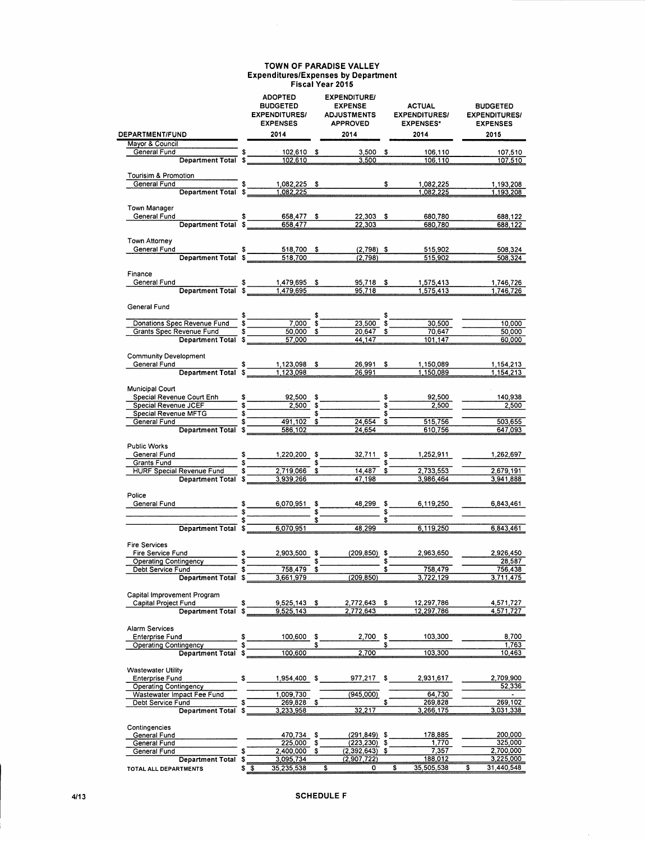#### TOWN OF PARADISE VALLEY Expenditures/Expenses by Department Fiscal Year 2015

 $\mathcal{A}^{\mathcal{A}}$ 

|                                                               |    | <b>ADOPTED</b><br><b>BUDGETED</b><br><b>EXPENDITURES/</b><br><b>EXPENSES</b>                         |    | <b>EXPENDITURE/</b><br><b>EXPENSE</b><br><b>ADJUSTMENTS</b><br><b>APPROVED</b> |                | <b>ACTUAL</b><br><b>EXPENDITURES/</b><br><b>EXPENSES*</b> | <b>BUDGETED</b><br><b>EXPENDITURES/</b><br><b>EXPENSES</b> |                      |  |
|---------------------------------------------------------------|----|------------------------------------------------------------------------------------------------------|----|--------------------------------------------------------------------------------|----------------|-----------------------------------------------------------|------------------------------------------------------------|----------------------|--|
| <b>DEPARTMENT/FUND</b>                                        |    | 2014                                                                                                 |    | 2014                                                                           |                | 2014                                                      |                                                            | 2015                 |  |
| Mayor & Council<br>S<br>Department Total \$                   |    |                                                                                                      |    |                                                                                |                |                                                           |                                                            |                      |  |
| General Fund                                                  |    | $102,610$ \$<br>102,610                                                                              |    | $3,500$ \$<br>3.500                                                            |                | 106,110<br>106,110                                        |                                                            | 107,510<br>107,510   |  |
|                                                               |    |                                                                                                      |    |                                                                                |                |                                                           |                                                            |                      |  |
| Tourisim & Promotion                                          |    |                                                                                                      |    |                                                                                |                |                                                           |                                                            |                      |  |
| Department Total \$<br>General Fund                           |    | 1,082,225 \$                                                                                         |    |                                                                                | \$             | 1,082,225                                                 |                                                            | 1,193,208            |  |
|                                                               |    | 1,082,225                                                                                            |    |                                                                                |                | 1,082,225                                                 |                                                            | 1,193,208            |  |
| Town Manager                                                  |    |                                                                                                      |    |                                                                                |                |                                                           |                                                            |                      |  |
| General Fund                                                  |    |                                                                                                      |    | 22,303 \$                                                                      |                | 680,780                                                   |                                                            | 688,122              |  |
|                                                               |    | 658,477                                                                                              |    | 22,303                                                                         |                | 680,780                                                   |                                                            | 688,122              |  |
|                                                               |    |                                                                                                      |    |                                                                                |                |                                                           |                                                            |                      |  |
| Town Attorney                                                 |    |                                                                                                      |    |                                                                                |                |                                                           |                                                            |                      |  |
| General Fund<br>Department Total \$                           |    | $518,700$ \$                                                                                         |    | $(2,798)$ \$                                                                   |                | 515,902                                                   |                                                            | 508,324              |  |
|                                                               |    | 518,700                                                                                              |    | (2.798)                                                                        |                | 515,902                                                   |                                                            | 508,324              |  |
| Finance                                                       |    |                                                                                                      |    |                                                                                |                |                                                           |                                                            |                      |  |
| General Fund                                                  |    |                                                                                                      |    | 95,718 \$                                                                      |                | 1,575,413                                                 |                                                            | 1,746,726            |  |
|                                                               |    | $\begin{array}{c cccc}\n & & 1,479,695 & 5 \\ \hline\nDepartment Total & 5 & 1,479,695\n\end{array}$ |    | 95,718                                                                         |                | 1,575,413                                                 |                                                            | 1,746,726            |  |
|                                                               |    |                                                                                                      |    |                                                                                |                |                                                           |                                                            |                      |  |
| General Fund                                                  |    |                                                                                                      |    |                                                                                |                |                                                           |                                                            |                      |  |
|                                                               |    |                                                                                                      |    | $\frac{1}{23,500}$ \$-                                                         |                |                                                           |                                                            |                      |  |
| Grants Spec Revenue Fund                                      |    | $\frac{60,000}{50,000}$ \$                                                                           |    | $20,647$ \$                                                                    |                | 30,500<br>70,647                                          |                                                            | 10,000<br>50,000     |  |
| Department Total \$                                           |    | 57,000                                                                                               |    | 44,147                                                                         |                | 101,147                                                   |                                                            | 60,000               |  |
|                                                               |    |                                                                                                      |    |                                                                                |                |                                                           |                                                            |                      |  |
| <b>Community Development</b>                                  |    |                                                                                                      |    |                                                                                |                |                                                           |                                                            |                      |  |
| General Fund \$ 1,123,098 \$<br>Department Total \$ 1,123,098 |    |                                                                                                      |    | 26,991 \$                                                                      |                | 1,150,089                                                 |                                                            | 1,154,213            |  |
|                                                               |    |                                                                                                      |    | 26,991                                                                         |                | 1,150,089                                                 |                                                            | 1,154,213            |  |
|                                                               |    |                                                                                                      |    |                                                                                |                |                                                           |                                                            |                      |  |
| <b>Municipal Court</b>                                        |    |                                                                                                      |    |                                                                                |                | 92,500                                                    |                                                            |                      |  |
| Special Revenue Court Enh \$92,500 \$<br>Special Revenue JCEF |    | $\frac{2,500}{2,500}$ \$                                                                             |    |                                                                                | \$_            | $\frac{1}{2,500}$                                         |                                                            | 140,938<br>2,500     |  |
| Special Revenue MFTG                                          |    |                                                                                                      |    |                                                                                |                |                                                           |                                                            |                      |  |
| General Fund                                                  |    | $\frac{1}{491,102}$ \$                                                                               |    | $24,654$ \$                                                                    |                | 515,756                                                   |                                                            | 503,655              |  |
| Department Total \$                                           |    | 586,102                                                                                              |    | 24,654                                                                         |                | 610,756                                                   |                                                            | 647,093              |  |
|                                                               |    |                                                                                                      |    |                                                                                |                |                                                           |                                                            |                      |  |
| Public Works                                                  |    |                                                                                                      |    |                                                                                |                |                                                           |                                                            |                      |  |
| General Fund                                                  |    | $\frac{1}{2}$<br>1,220,200 \$                                                                        |    | $32,711$ \$                                                                    |                | 1,252,911                                                 |                                                            | 1,262,697            |  |
| Grants Fund<br>HURF Special Revenue Fund                      |    | $\sim$ $\sim$ $\sim$ $\sim$ $\sim$<br>$2,719,066$ \$                                                 |    | $14,487$ \$                                                                    |                | \$<br>2,733,553                                           |                                                            | 2,679,191            |  |
| Department Total \$                                           |    | 3,939,266                                                                                            |    | 47,198                                                                         |                | 3,986,464                                                 |                                                            | 3,941,888            |  |
|                                                               |    |                                                                                                      |    |                                                                                |                |                                                           |                                                            |                      |  |
| Police                                                        |    |                                                                                                      |    |                                                                                |                |                                                           |                                                            |                      |  |
| General Fund                                                  |    | 6,070,951 \$                                                                                         |    | 48,299 \$                                                                      |                | 6,119,250                                                 |                                                            | 6,843,461            |  |
|                                                               |    | $s = 1$                                                                                              |    |                                                                                |                | $s$ and $s$                                               |                                                            |                      |  |
|                                                               |    |                                                                                                      |    | $\sqrt[3]{\phantom{222}}$                                                      | $\mathbf{s}^-$ |                                                           |                                                            |                      |  |
| Department Total \$                                           |    | 6,070,951                                                                                            |    | 48,299                                                                         |                | 6,119,250                                                 |                                                            | 6,843,461            |  |
| <b>Fire Services</b>                                          |    |                                                                                                      |    |                                                                                |                |                                                           |                                                            |                      |  |
| Fire Service Fund                                             |    | 2,903,500 \$<br>$\frac{1}{2}$                                                                        |    | $(209, 850)$ \$                                                                |                | 2,963,650                                                 |                                                            | 2,926,450            |  |
| Operating Contingency                                         |    |                                                                                                      | \$ |                                                                                |                |                                                           |                                                            | 28,587               |  |
| Debt Service Fund                                             |    | 758,479                                                                                              |    |                                                                                |                | 758.479                                                   |                                                            | 756,438              |  |
| Department Total \$                                           |    | 3,661,979                                                                                            |    | (209, 850)                                                                     |                | 3,722,129                                                 |                                                            | <u>3,711,475 </u>    |  |
|                                                               |    |                                                                                                      |    |                                                                                |                |                                                           |                                                            |                      |  |
| Capital Improvement Program                                   |    |                                                                                                      |    |                                                                                |                |                                                           |                                                            |                      |  |
| Capital Project Fund<br>Department Total \$                   | \$ | $9,525,143$ \$<br>9.525,143                                                                          |    | 2,772,643 \$                                                                   |                | 12,297,786                                                |                                                            | 4,571,727            |  |
|                                                               |    |                                                                                                      |    | 2,772,643                                                                      |                | 12,297,786                                                |                                                            | 4,571,727            |  |
| <b>Alarm Services</b>                                         |    |                                                                                                      |    |                                                                                |                |                                                           |                                                            |                      |  |
| Enterprise Fund                                               | \$ | 100,600                                                                                              | s  | 2.700 \$                                                                       |                | 103,300                                                   |                                                            | 8,700                |  |
| Operating Contingency                                         |    |                                                                                                      |    |                                                                                |                |                                                           |                                                            | 1,763                |  |
| Department Total \$                                           |    | 100,600                                                                                              |    | 2,700                                                                          |                | 103,300                                                   |                                                            | 10,463               |  |
|                                                               |    |                                                                                                      |    |                                                                                |                |                                                           |                                                            |                      |  |
| <b>Wastewater Utility</b>                                     |    |                                                                                                      |    |                                                                                |                |                                                           |                                                            |                      |  |
| Enterprise Fund                                               | S. |                                                                                                      |    | 1,954,400 \$977,217 \$                                                         |                | 2,931,617                                                 |                                                            | 2,709,900            |  |
| <b>Operating Contingency</b><br>Wastewater Impact Fee Fund    |    | 1,009,730                                                                                            |    | (945,000)                                                                      |                | 64,730                                                    |                                                            | 52,336<br>$\sim 100$ |  |
| Debt Service Fund                                             |    | 269,828 \$                                                                                           |    |                                                                                |                | 269,828                                                   |                                                            | 269,102              |  |
| Department Total \$                                           |    | 3,233,958                                                                                            |    | 32,217                                                                         |                | 3,266,175                                                 |                                                            | 3,031,338            |  |
|                                                               |    |                                                                                                      |    |                                                                                |                |                                                           |                                                            |                      |  |
| Contingencies                                                 |    |                                                                                                      |    |                                                                                |                |                                                           |                                                            |                      |  |
| General Fund                                                  |    | 470,734 \$                                                                                           |    | $(291, 849)$ \$                                                                |                | 178,885                                                   |                                                            | 200,000              |  |
| General Fund                                                  | \$ | 225,000 \$<br>2,400,000 \$                                                                           |    | $(223, 230)$ \$<br>$(2,392,643)$ \$                                            |                | 1,770<br>7,357                                            |                                                            | 325,000<br>2,700,000 |  |
| General Fund<br>Department Total \$                           |    | 3,095,734                                                                                            |    | (2,907,722)                                                                    |                | 188,012                                                   |                                                            | 3,225,000            |  |
| TOTAL ALL DEPARTMENTS                                         |    | 35,235,538<br>\$\$                                                                                   |    | $\overline{\mathbf{s}}$<br>$\mathbf{o}$                                        |                | 35,505,538<br>\$                                          | \$                                                         | 31,440,548           |  |
|                                                               |    |                                                                                                      |    |                                                                                |                |                                                           |                                                            |                      |  |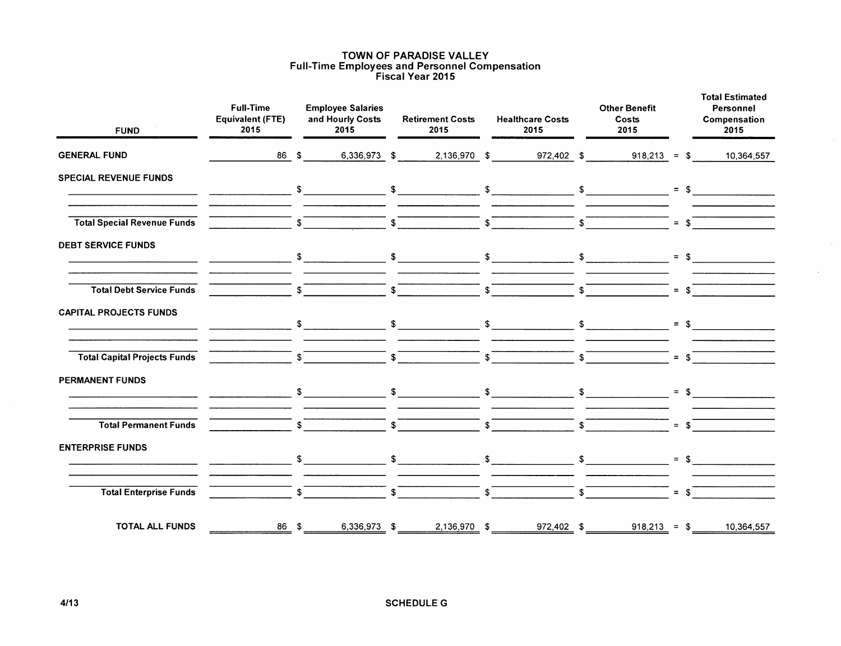#### TOWN OF PARADISE VALLEY Full-Time Employees and Personnel Compensation Fiscal Year 2015

| <b>FUND</b>                         | <b>Full-Time</b><br><b>Equivalent (FTE)</b><br>2015 |                | <b>Employee Salaries</b><br>and Hourly Costs<br>2015 | <b>Retirement Costs</b><br>2015                                                                                             |              | <b>Healthcare Costs</b><br>2015    | <b>Other Benefit</b><br>Costs<br>2015                                                      |                | <b>Total Estimated</b><br>Personnel<br>Compensation<br>2015 |
|-------------------------------------|-----------------------------------------------------|----------------|------------------------------------------------------|-----------------------------------------------------------------------------------------------------------------------------|--------------|------------------------------------|--------------------------------------------------------------------------------------------|----------------|-------------------------------------------------------------|
| <b>GENERAL FUND</b>                 | 86                                                  | \$             | 6,336,973 \$                                         | 2,136,970 \$                                                                                                                |              | 972,402 \$                         | $918,213 = $$                                                                              |                | 10,364,557                                                  |
| <b>SPECIAL REVENUE FUNDS</b>        |                                                     |                |                                                      | $\sqrt[3]{\begin{array}{c} \text{5} \\ \text{6} \end{array}}$ $\sqrt[3]{\begin{array}{c} \text{6} \\ \text{7} \end{array}}$ |              |                                    |                                                                                            |                | $=$ \$                                                      |
| <b>Total Special Revenue Funds</b>  |                                                     | $\sqrt{s}$     |                                                      | $\sqrt{s}$                                                                                                                  |              | $\sqrt{2}$                         | $\begin{array}{c c c c c c} \hline \text{ } & & \text{ } & \text{ } \\ \hline \end{array}$ | $=$ \$         |                                                             |
| <b>DEBT SERVICE FUNDS</b>           |                                                     |                |                                                      |                                                                                                                             |              |                                    |                                                                                            | $=$ \$         |                                                             |
| <b>Total Debt Service Funds</b>     |                                                     | $\sqrt{s}$     |                                                      | $\sim$                                                                                                                      |              | $\sqrt{3}$                         | $\overline{\text{S}}$                                                                      | $=$ \$         |                                                             |
| <b>CAPITAL PROJECTS FUNDS</b>       |                                                     |                |                                                      |                                                                                                                             |              |                                    |                                                                                            |                | $=$ \$                                                      |
| <b>Total Capital Projects Funds</b> |                                                     | S              |                                                      | $s$ $\overline{\phantom{a}}$                                                                                                |              | $\overline{\text{s}}$              | $\overline{\text{S}}$                                                                      | $=$ \$         |                                                             |
| <b>PERMANENT FUNDS</b>              |                                                     |                |                                                      |                                                                                                                             |              |                                    |                                                                                            | $=$ \$         |                                                             |
| <b>Total Permanent Funds</b>        |                                                     | $\mathbf{s}^-$ |                                                      | $\overline{\mathbf{s}}$                                                                                                     |              | $\overline{\text{S}}$              | $\int$                                                                                     | $=$ \$         |                                                             |
| <b>ENTERPRISE FUNDS</b>             |                                                     | $\mathsf{\$}$  |                                                      | $\frac{1}{2}$                                                                                                               |              | $\sim$ $\sim$ $\sim$ $\sim$ $\sim$ |                                                                                            |                | $=$ \$                                                      |
| <b>Total Enterprise Funds</b>       |                                                     | $\mathfrak{S}$ |                                                      | \$                                                                                                                          | $\mathsf{s}$ |                                    | \$                                                                                         | $=$ $\sqrt{s}$ |                                                             |
| <b>TOTAL ALL FUNDS</b>              | 86 \$                                               |                | 6,336,973 \$                                         | 2,136,970 \$                                                                                                                |              | 972,402 \$                         | $918,213 = $$                                                                              |                | 10,364,557                                                  |

 $\mathcal{L}_{\mathcal{A}}$ 

 $\mathcal{L}$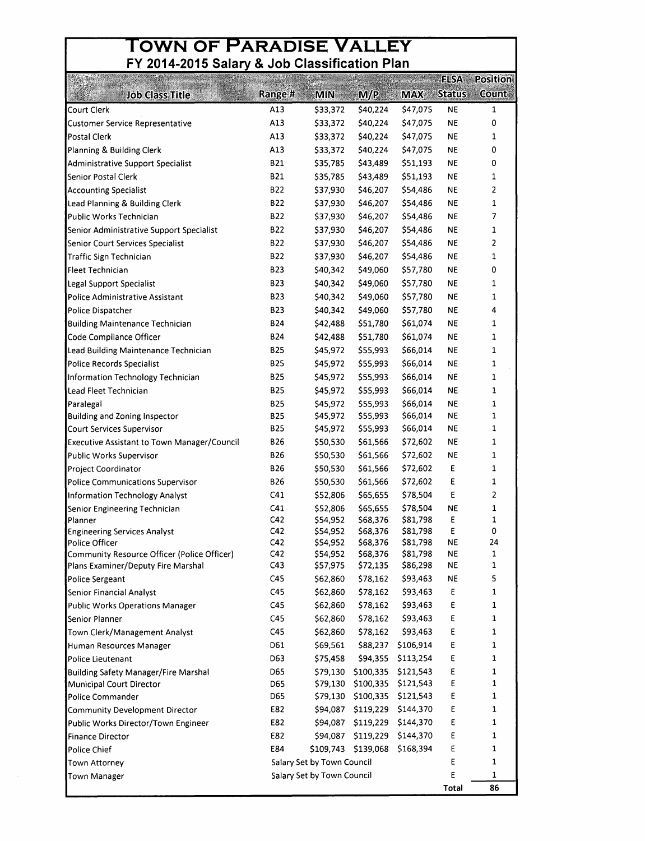# **OWN OF PARADISE VALLEY**

| <b>Job Class Title</b><br>Court Clerk                                             | Range #<br>A13 | <b>MIN</b>                 | M/P                  | <b>MAX</b>           | <b>Status</b>          | <b>Count</b> |
|-----------------------------------------------------------------------------------|----------------|----------------------------|----------------------|----------------------|------------------------|--------------|
|                                                                                   |                |                            |                      |                      |                        |              |
|                                                                                   |                | \$33,372                   | \$40,224             | \$47,075             | ΝE                     | 1            |
| Customer Service Representative                                                   | A13            | \$33,372                   | \$40,224             | \$47,075             | ΝĘ                     | 0            |
| Postal Clerk                                                                      | A13            | \$33,372                   | \$40,224             | \$47,075             | ΝE                     | 1            |
| Planning & Building Clerk                                                         | A13            | \$33,372                   | \$40,224             | \$47,075             | NE                     | 0            |
| <b>Administrative Support Specialist</b>                                          | <b>B21</b>     | \$35,785                   | \$43,489             | \$51,193             | <b>NE</b>              | 0            |
| Senior Postal Clerk                                                               | <b>B21</b>     | \$35,785                   | \$43,489             | \$51,193             | <b>NE</b>              | 1            |
| <b>Accounting Specialist</b>                                                      | <b>B22</b>     | \$37,930                   | \$46,207             | \$54,486             | <b>NE</b>              | 2            |
| Lead Planning & Building Clerk                                                    | <b>B22</b>     | \$37,930                   | \$46,207             | \$54,486             | <b>NE</b>              | 1            |
| Public Works Technician                                                           | <b>B22</b>     | \$37,930                   | \$46,207             | \$54,486             | NE                     | 7            |
| Senior Administrative Support Specialist                                          | <b>B22</b>     | \$37,930                   | \$46,207             | \$54,486             | NE                     | 1            |
| Senior Court Services Specialist                                                  | <b>B22</b>     | \$37,930                   | \$46,207             | \$54,486             | NE                     | 2            |
| <b>Traffic Sign Technician</b>                                                    | <b>B22</b>     | \$37,930                   | \$46,207             | \$54,486             | <b>NE</b>              | 1            |
| Fleet Technician                                                                  | <b>B23</b>     | \$40,342                   | \$49,060             | \$57,780             | <b>NE</b>              | 0            |
| Legal Support Specialist                                                          | <b>B23</b>     | \$40,342                   | \$49,060             | \$57,780             | NE                     | 1            |
| Police Administrative Assistant                                                   | <b>B23</b>     | \$40,342                   | \$49,060             | \$57,780             | <b>NE</b>              | 1            |
| Police Dispatcher                                                                 | <b>B23</b>     | \$40,342                   | \$49,060             | \$57,780             | <b>NE</b>              | 4            |
| <b>Building Maintenance Technician</b>                                            | <b>B24</b>     | \$42,488                   | \$51,780             | \$61,074             | NE                     | 1            |
| Code Compliance Officer                                                           | <b>B24</b>     | \$42,488                   | \$51,780             | \$61,074             | ΝE                     | 1            |
| Lead Building Maintenance Technician                                              | <b>B25</b>     | \$45,972                   | \$55,993             | \$66,014             | NE.                    | 1            |
| Police Records Specialist                                                         | <b>B25</b>     | \$45,972                   | \$55,993             | \$66,014             | NE                     | 1            |
| Information Technology Technician                                                 | <b>B25</b>     | \$45,972                   | \$55,993             | \$66,014             | NE                     | 1            |
| Lead Fleet Technician                                                             | <b>B25</b>     | \$45,972                   | \$55,993             | \$66,014             | <b>NE</b>              | 1            |
| Paralegal                                                                         | <b>B25</b>     | \$45,972                   | \$55,993             | \$66,014             | <b>NE</b>              | 1            |
| Building and Zoning Inspector                                                     | <b>B25</b>     | \$45,972                   | \$55,993             | \$66,014             | <b>NE</b>              | $\mathbf 1$  |
| Court Services Supervisor                                                         | <b>B25</b>     | \$45,972                   | \$55,993             | \$66,014             | NE                     | 1            |
| <b>Executive Assistant to Town Manager/Council</b>                                | <b>B26</b>     | \$50,530                   | \$61,566             | \$72,602             | NE                     | 1            |
| Public Works Supervisor                                                           | B26            | \$50,530                   | \$61,566             | \$72,602             | NE                     | $\mathbf{1}$ |
| Project Coordinator                                                               | <b>B26</b>     | \$50,530                   | \$61,566             | \$72,602             | E                      | $\mathbf{1}$ |
| Police Communications Supervisor                                                  | <b>B26</b>     | \$50,530                   | \$61,566             | \$72,602             | E                      | 1            |
| Information Technology Analyst                                                    | C41            | \$52,806                   | \$65,655             | \$78,504             | E                      | 2            |
| Senior Engineering Technician                                                     | C41            | \$52,806                   | \$65,655             | \$78,504             | <b>NE</b>              | 1            |
| Planner                                                                           | C42            | \$54,952                   | \$68,376             | \$81,798             | Ε                      | 1            |
| <b>Engineering Services Analyst</b>                                               | C42            | \$54,952                   | \$68,376             | \$81,798             | Ε                      | 0            |
| Police Officer                                                                    | C42            | \$54,952                   | \$68,376             | \$81,798             | ΝE                     | 24           |
| Community Resource Officer (Police Officer)<br>Plans Examiner/Deputy Fire Marshal | C42<br>C43     | \$54,952<br>\$57,975       | \$68,376<br>\$72,135 | \$81,798<br>\$86,298 | <b>NE</b><br><b>NE</b> | 1<br>1       |
| Police Sergeant                                                                   | C45            | \$62,860                   | \$78,162             | \$93,463             | NE                     | 5            |
| Senior Financial Analyst                                                          | C45            | \$62,860                   | \$78,162             | \$93,463             | Ε                      | 1            |
| Public Works Operations Manager                                                   | C45            | \$62,860                   | \$78,162             | \$93,463             | E                      | 1            |
| Senior Planner                                                                    | C45            | \$62,860                   | \$78,162             | \$93,463             | E                      | 1            |
|                                                                                   | C45            | \$62,860                   | \$78,162             | \$93,463             | Ε                      | 1            |
| Town Clerk/Management Analyst<br>Human Resources Manager                          | D61            | \$69,561                   | \$88,237             | \$106,914            | Ε                      | 1            |
| Police Lieutenant                                                                 | D63            | \$75,458                   | \$94,355             | \$113,254            | Ε                      | 1            |
|                                                                                   | D65            | \$79,130                   | \$100,335            | \$121,543            | E                      | 1            |
| <b>Building Safety Manager/Fire Marshal</b><br>Municipal Court Director           | D65            | \$79,130                   | \$100,335            | \$121,543            | Ε                      | 1            |
| Police Commander                                                                  | D65            | \$79,130                   | \$100,335            | \$121,543            | E                      | 1            |
| Community Development Director                                                    | E82            | \$94,087                   | \$119,229            | \$144,370            | Ε                      | 1            |
| Public Works Director/Town Engineer                                               | E82            | \$94,087                   | \$119,229            | \$144,370            | Ε                      | 1            |
| <b>Finance Director</b>                                                           | E82            | \$94,087                   | \$119,229            | \$144,370            | E                      | 1            |
| Police Chief                                                                      | E84            |                            | \$109,743 \$139,068  | \$168,394            | Е                      | 1            |
| Town Attorney                                                                     |                | Salary Set by Town Council |                      |                      | Ε                      | 1            |
| <b>Town Manager</b>                                                               |                | Salary Set by Town Council |                      |                      | Е                      | 1            |
|                                                                                   |                |                            |                      |                      | Total                  | 86           |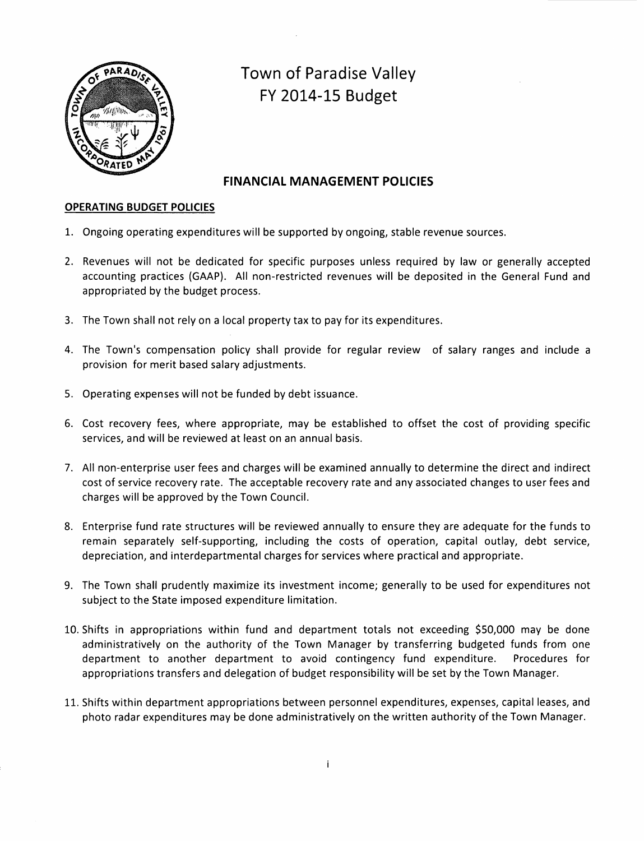

# **Town of Paradise Valley FY 2014-15 Budget**

## **FINANCIAL MANAGEMENT POLICIES**

## **OPERATING BUDGET POLICIES**

- 1. Ongoing operating expenditures will be supported by ongoing, stable revenue sources.
- 2. Revenues will not be dedicated for specific purposes unless required by law or generally accepted accounting practices (GAAP). All non-restricted revenues will be deposited in the General Fund and appropriated by the budget process.
- 3. The Town shall not rely on a local property tax to pay for its expenditures.
- 4. The Town's compensation policy shall provide for regular review of salary ranges and include a provision for merit based salary adjustments.
- 5. Operating expenses will not be funded by debt issuance.
- 6. Cost recovery fees, where appropriate, may be established to offset the cost of providing specific services, and will be reviewed at least on an annual basis.
- 7. All non-enterprise user fees and charges will be examined annually to determine the direct and indirect cost of service recovery rate. The acceptable recovery rate and any associated changes to user fees and charges will be approved by the Town Council.
- 8. Enterprise fund rate structures will be reviewed annually to ensure they are adequate for the funds to remain separately self-supporting, including the costs of operation, capital outlay, debt service, depreciation, and interdepartmental charges for services where practical and appropriate.
- 9. The Town shall prudently maximize its investment income; generally to be used for expenditures not subject to the State imposed expenditure limitation.
- 10. Shifts in appropriations within fund and department totals not exceeding \$50,000 may be done administratively on the authority of the Town Manager by transferring budgeted funds from one department to another department to avoid contingency fund expenditure. Procedures for appropriations transfers and delegation of budget responsibility will be set by the Town Manager.
- 11. Shifts within department appropriations between personnel expenditures, expenses, capital leases, and photo radar expenditures may be done administratively on the written authority of the Town Manager.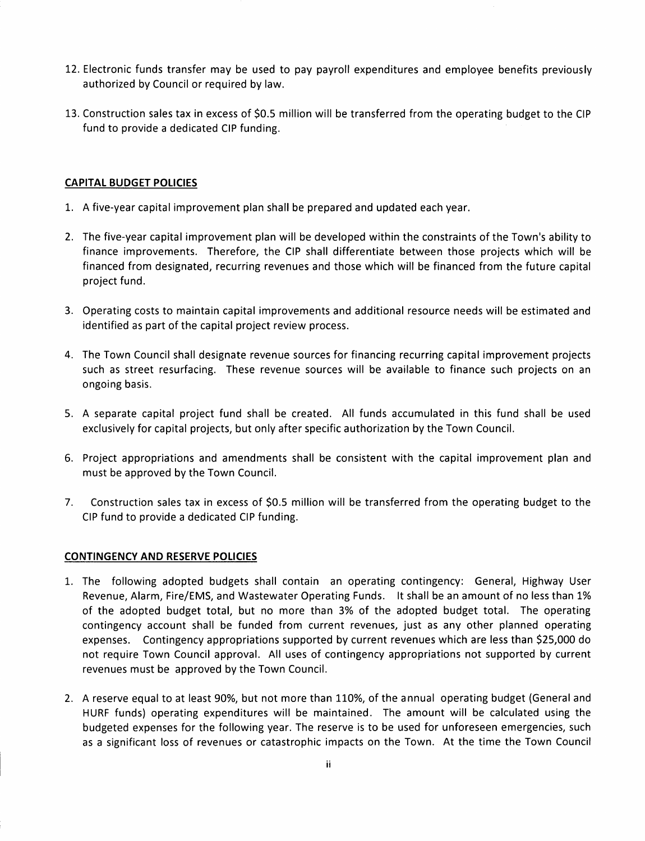- 12. Electronic funds transfer may be used to pay payroll expenditures and employee benefits previously authorized by Council or required by law.
- 13. Construction sales tax in excess of \$0.5 million will be transferred from the operating budget to the CIP fund to provide a dedicated CIP funding.

## **CAPITAL BUDGET POLICIES**

- 1. A five-year capital improvement plan shall be prepared and updated each year.
- 2. The five-year capital improvement plan will be developed within the constraints of the Town's ability to finance improvements. Therefore, the CIP shall differentiate between those projects which will be financed from designated, recurring revenues and those which will be financed from the future capital project fund.
- 3. Operating costs to maintain capital improvements and additional resource needs will be estimated and identified as part of the capital project review process.
- 4. The Town Council shall designate revenue sources for financing recurring capital improvement projects such as street resurfacing. These revenue sources will be available to finance such projects on an ongoing basis.
- 5. A separate capital project fund shall be created. All funds accumulated in this fund shall be used exclusively for capital projects, but only after specific authorization by the Town Council.
- 6. Project appropriations and amendments shall be consistent with the capital improvement plan and must be approved by the Town Council.
- 7. Construction sales tax in excess of \$0.5 million will be transferred from the operating budget to the CIP fund to provide a dedicated CIP funding.

## **CONTINGENCY AND RESERVE POLICIES**

- 1. The following adopted budgets shall contain an operating contingency: General, Highway User Revenue, Alarm, Fire/EMS, and Wastewater Operating Funds. It shall be an amount of no less than 1% of the adopted budget total, but no more than 3% of the adopted budget total. The operating contingency account shall be funded from current revenues, just as any other planned operating expenses. Contingency appropriations supported by current revenues which are less than \$25,000 do not require Town Council approval. All uses of contingency appropriations not supported by current revenues must be approved by the Town Council.
- 2. A reserve equal to at least 90%, but not more than 110%, of the annual operating budget (General and HURF funds) operating expenditures will be maintained. The amount will be calculated using the budgeted expenses for the following year. The reserve is to be used for unforeseen emergencies, such as a significant loss of revenues or catastrophic impacts on the Town. At the time the Town Council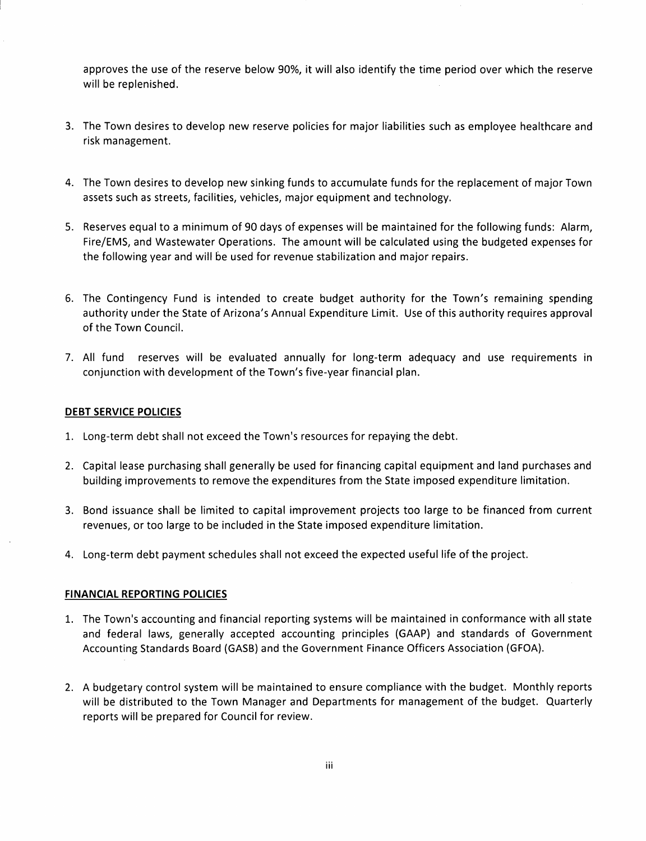approves the use of the reserve below 90%, it will also identify the time period over which the reserve will be replenished.

- 3. The Town desires to develop new reserve policies for major liabilities such as employee healthcare and risk management.
- 4. The Town desires to develop new sinking funds to accumulate funds for the replacement of major Town assets such as streets, facilities, vehicles, major equipment and technology.
- 5. Reserves equal to a minimum of 90 days of expenses will be maintained for the following funds: Alarm, Fire/EMS, and Wastewater Operations. The amount will be calculated using the budgeted expenses for the following year and will be used for revenue stabilization and major repairs.
- 6. The Contingency Fund is intended to create budget authority for the Town's remaining spending authority under the State of Arizona's Annual Expenditure Limit. Use of this authority requires approval of the Town Council.
- 7. All fund reserves will be evaluated annually for long-term adequacy and use requirements in conjunction with development of the Town's five-year financial plan.

## **DEBT SERVICE POLICIES**

- 1. Long-term debt shall not exceed the Town's resources for repaying the debt.
- 2. Capital lease purchasing shall generally be used for financing capital equipment and land purchases and building improvements to remove the expenditures from the State imposed expenditure limitation.
- 3. Bond issuance shall be limited to capital improvement projects too large to be financed from current revenues, or too large to be included in the State imposed expenditure limitation.
- 4. Long-term debt payment schedules shall not exceed the expected useful life of the project.

## **FINANCIAL REPORTING POLICIES**

- 1. The Town's accounting and financial reporting systems will be maintained in conformance with all state and federal laws, generally accepted accounting principles (GAAP) and standards of Government Accounting Standards Board (GASB) and the Government Finance Officers Association (GFOA).
- 2. A budgetary control system will be maintained to ensure compliance with the budget. Monthly reports will be distributed to the Town Manager and Departments for management of the budget. Quarterly reports will be prepared for Council for review.